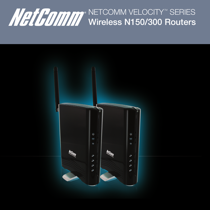

NETCOMM VELOCITY™ SERIES Wireless N150/300 Routers

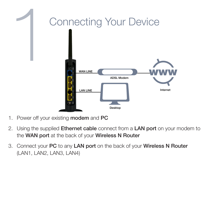

- 1. Power off your existing modem and PC
- 2. Using the supplied **Ethernet cable** connect from a **LAN port** on your modem to the WAN port at the back of your Wireless N Router
- 3. Connect your PC to any LAN port on the back of your Wireless N Router (LAN1, LAN2, LAN3, LAN4)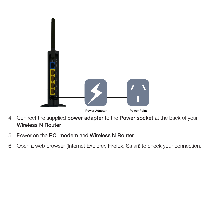

- 4. Connect the supplied power adapter to the Power socket at the back of your Wireless N Router
- 5. Power on the PC, modem and Wireless N Router
- 6. Open a web browser (Internet Explorer, Firefox, Safari) to check your connection.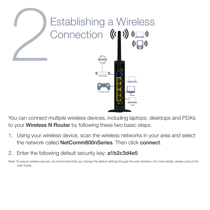

You can connect multiple wireless devices, including laptops, desktops and PDA's to your **Wireless N Router** by following these two basic steps.

- 1. Using your wireless device, scan the wireless networks in your area and select the network called NetComm800nSeries. Then click connect.
- 2. Enter the following default security key: a1b2c3d4e5

Note: To ensure wireless security, we recommend that you change the default settings through the web Interface. For more details, please consult the User Guide.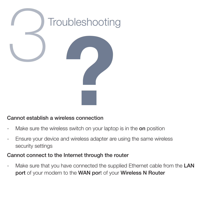

## Cannot establish a wireless connection

- Make sure the wireless switch on your laptop is in the **on** position
- Ensure your device and wireless adapter are using the same wireless security settings

## Cannot connect to the Internet through the router

Make sure that you have connected the supplied Ethernet cable from the LAN port of your modem to the WAN port of your Wireless N Router